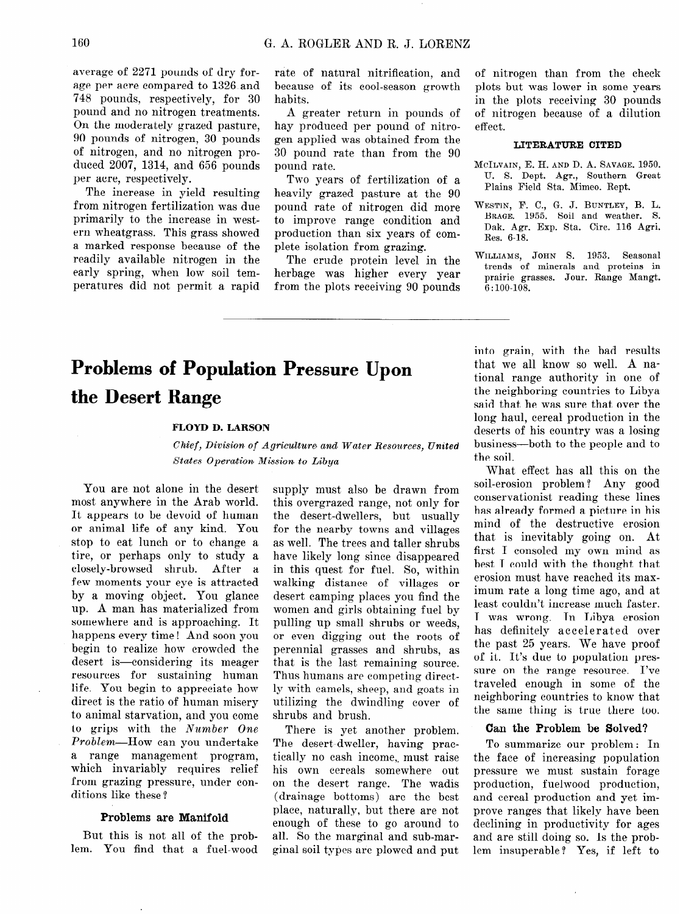# **Problems of Population Pressure Upon the Desert Range**

#### **FLOYD D. LARSON**

*Chief, Division of Agriculture and Water Resources, United States Operation, Mission. to Libya* 

You are not alone in the desert most anywhere in the Arab world. It appears to be devoid of human or animal life of any kind. You stop to eat lunch or to change a tire, or perhaps only to study a closely-browsed shrub. After a few moments your eye is attracted by a moving object. You glance UP. A man has materialized from somewhere and is approaching. It happens every time! And soon you begin to realize how crowded the desert is eonsidering its meager resources for sustaining human life. You begin to appreciate how direct is the ratio of human misery to animal starvation, and you come to grips with the  $Number\ One$ Problem-How can you undertake a range management program, which invariably requires relief from grazing pressure, under conditions like these?

#### Problems are Manifold

But this is not all of the problem. You find that a fuel-wood supply must also be drawn from this overgrazed range, not only for the desert-dwellers, but usually for the nearby towns and villages as well. The trees and taller shrubs have likely long since disappeared in this quest for fuel. So, within walking distance of villages or desert camping places you find the women and girls obtaining fuel by pulling up small shrubs or weeds, or even digging out the roots of perennial grasses and shrubs, as that is the last remaining source. Thus humans are competing directly with camels, sheep, and goats in utilizing the dwindling cover of shrubs and brush.

There is yet another problem. The desert-dweller, having practically no cash income, must raise his own cereals somewhere out on the desert range. The wadis (drainage bottoms) are the best place, naturally, but there are not enough of these to go around to all. So the marginal and sub-marginal soil types are plowed and put into grain, with the bad results that we all know so well. A national range authority in one of the neighboring countries to Libya said that he was sure that over the long haul, cereal production in the deserts of his country was a losing business-both to the people and to the soil.

What effect has all this on the soil-erosion problem ? Any good conservationist reading these lines has already formed a picture in his mind of the destructive erosion that is inevitably going on. At first I consoled my own mind as best I could with the thought that erosion must have reached its maximum rate a long time ago, and at least couldn't increase much faster. I was wrong. In Libya erosion has definitely accelerated over the past 25 years. We have proof of it. It's due to population pressure on the range resource. I've traveled enough in some of the neighboring countries to know that the same thing is true there too.

### Can the Problem be Solved?

To summarize our problem: In the face of increasing population pressure we must sustain forage production, fuelwood production, and cereal production and yet improve ranges that likely have been declining in productivity for ages and are still doing so. Is the problem insuperable? Yes, if left to